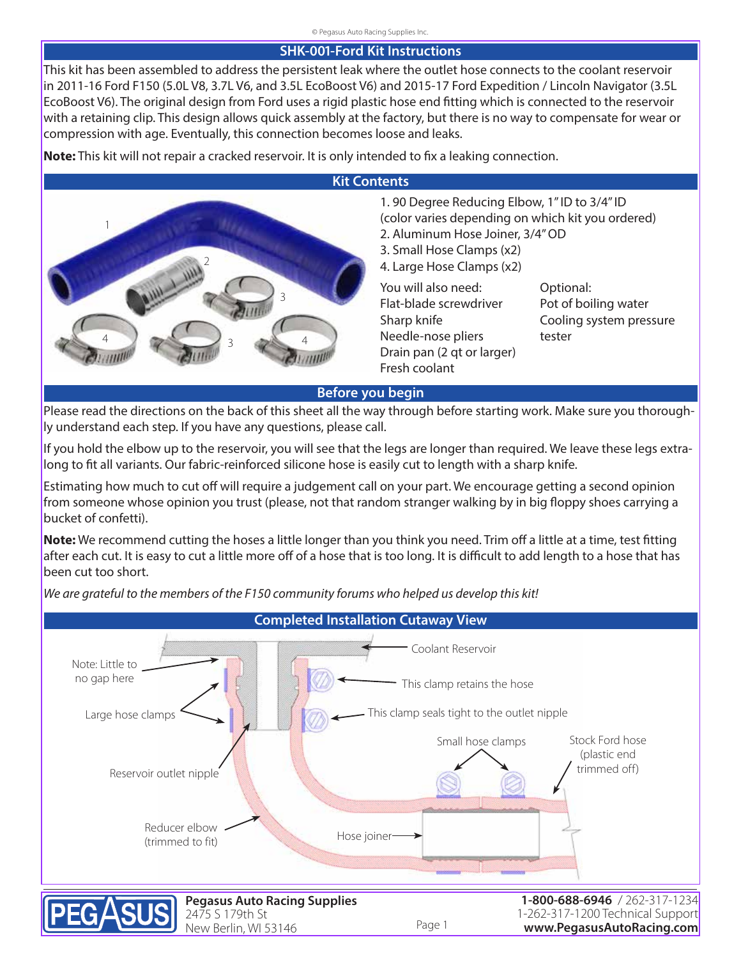## **SHK-001-Ford Kit Instructions**

This kit has been assembled to address the persistent leak where the outlet hose connects to the coolant reservoir in 2011-16 Ford F150 (5.0L V8, 3.7L V6, and 3.5L EcoBoost V6) and 2015-17 Ford Expedition / Lincoln Navigator (3.5L EcoBoost V6). The original design from Ford uses a rigid plastic hose end fitting which is connected to the reservoir with a retaining clip. This design allows quick assembly at the factory, but there is no way to compensate for wear or compression with age. Eventually, this connection becomes loose and leaks.

**Note:** This kit will not repair a cracked reservoir. It is only intended to fix a leaking connection.



## **Before you begin**

[Please read the directions on the back of this sheet all the way through before starting work. Make sure you thorough](https://www.pegasusautoracing.com/group.asp?GroupID=SHKFORD001)ly understand each step. If you have any questions, please call.

If you hold the elbow up to the reservoir, you will see that the legs are longer than required. We leave these legs extralong to fit all variants. Our fabric-reinforced silicone hose is easily cut to length with a sharp knife.

Estimating how much to cut off will require a judgement call on your part. We encourage getting a second opinion from someone whose opinion you trust (please, not that random stranger walking by in big floppy shoes carrying a bucket of confetti).

**Note:** We recommend cutting the hoses a little longer than you think you need. Trim off a little at a time, test fitting after each cut. It is easy to cut a little more off of a hose that is too long. It is difficult to add length to a hose that has been cut too short.

Hose joiner Note: Little to no gap here Coolant Reservoir This clamp retains the hose Large hose clamps  $\left\langle \right\rangle$   $\left\langle \right\rangle$   $\left\langle \right\rangle$   $\left\langle \right\rangle$  This clamp seals tight to the outlet nipple Reservoir outlet nipple Reducer elbow (trimmed to fit) Small hose clamps Stock Ford hose (plastic end trimmed off) **Completed Installation Cutaway View**

*We are grateful to the members of the F150 community forums who helped us develop this kit!*



**Pegasus Auto Racing Supplies** 2475 S 179th St New Berlin, WI 53146

Page 1

**1-800-688-6946** / 262-317-1234 [1-262-317-1200 Technical Support](http://www.pegasusautoracing.com/home.asp) **www.PegasusAutoRacing.com**